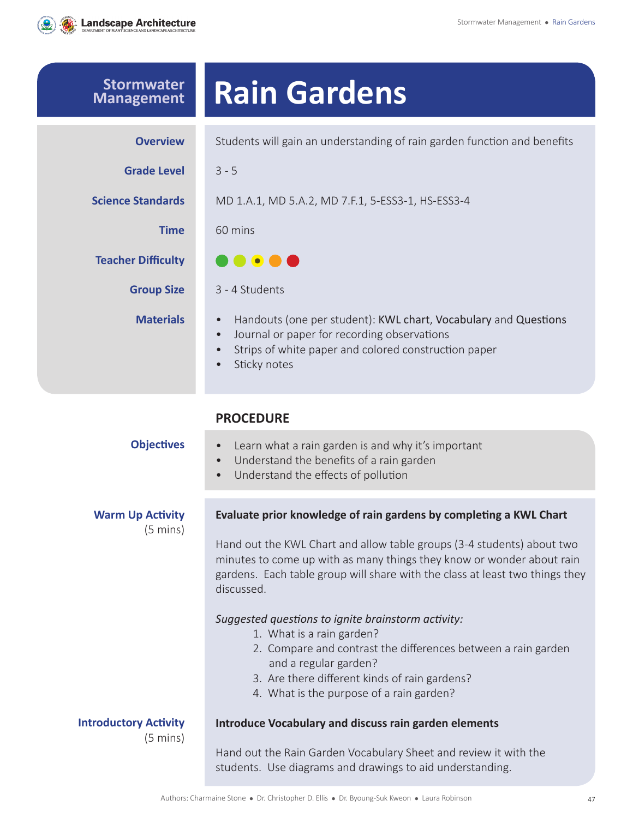

| <b>Stormwater</b><br><b>Management</b>             | <b>Rain Gardens</b>                                                                                                                                                                                                                                                                                                                                                                                                                                                                                                                                                                           |
|----------------------------------------------------|-----------------------------------------------------------------------------------------------------------------------------------------------------------------------------------------------------------------------------------------------------------------------------------------------------------------------------------------------------------------------------------------------------------------------------------------------------------------------------------------------------------------------------------------------------------------------------------------------|
| <b>Overview</b>                                    | Students will gain an understanding of rain garden function and benefits                                                                                                                                                                                                                                                                                                                                                                                                                                                                                                                      |
| <b>Grade Level</b>                                 | $3 - 5$                                                                                                                                                                                                                                                                                                                                                                                                                                                                                                                                                                                       |
| <b>Science Standards</b>                           | MD 1.A.1, MD 5.A.2, MD 7.F.1, 5-ESS3-1, HS-ESS3-4                                                                                                                                                                                                                                                                                                                                                                                                                                                                                                                                             |
| <b>Time</b>                                        | 60 mins                                                                                                                                                                                                                                                                                                                                                                                                                                                                                                                                                                                       |
| <b>Teacher Difficulty</b>                          | $\bullet\bullet\bullet\bullet$                                                                                                                                                                                                                                                                                                                                                                                                                                                                                                                                                                |
| <b>Group Size</b>                                  | 3 - 4 Students                                                                                                                                                                                                                                                                                                                                                                                                                                                                                                                                                                                |
| <b>Materials</b>                                   | Handouts (one per student): KWL chart, Vocabulary and Questions<br>$\bullet$<br>Journal or paper for recording observations<br>Strips of white paper and colored construction paper<br>Sticky notes                                                                                                                                                                                                                                                                                                                                                                                           |
|                                                    | <b>PROCEDURE</b>                                                                                                                                                                                                                                                                                                                                                                                                                                                                                                                                                                              |
| <b>Objectives</b>                                  | Learn what a rain garden is and why it's important<br>$\bullet$<br>Understand the benefits of a rain garden<br>$\bullet$<br>Understand the effects of pollution<br>$\bullet$                                                                                                                                                                                                                                                                                                                                                                                                                  |
| <b>Warm Up Activity</b><br>(5 mins)                | Evaluate prior knowledge of rain gardens by completing a KWL Chart<br>Hand out the KWL Chart and allow table groups (3-4 students) about two<br>minutes to come up with as many things they know or wonder about rain<br>gardens. Each table group will share with the class at least two things they<br>discussed.<br>Suggested questions to ignite brainstorm activity:<br>1. What is a rain garden?<br>2. Compare and contrast the differences between a rain garden<br>and a regular garden?<br>3. Are there different kinds of rain gardens?<br>4. What is the purpose of a rain garden? |
| <b>Introductory Activity</b><br>$(5 \text{ mins})$ | <b>Introduce Vocabulary and discuss rain garden elements</b><br>Hand out the Rain Garden Vocabulary Sheet and review it with the<br>students. Use diagrams and drawings to aid understanding.                                                                                                                                                                                                                                                                                                                                                                                                 |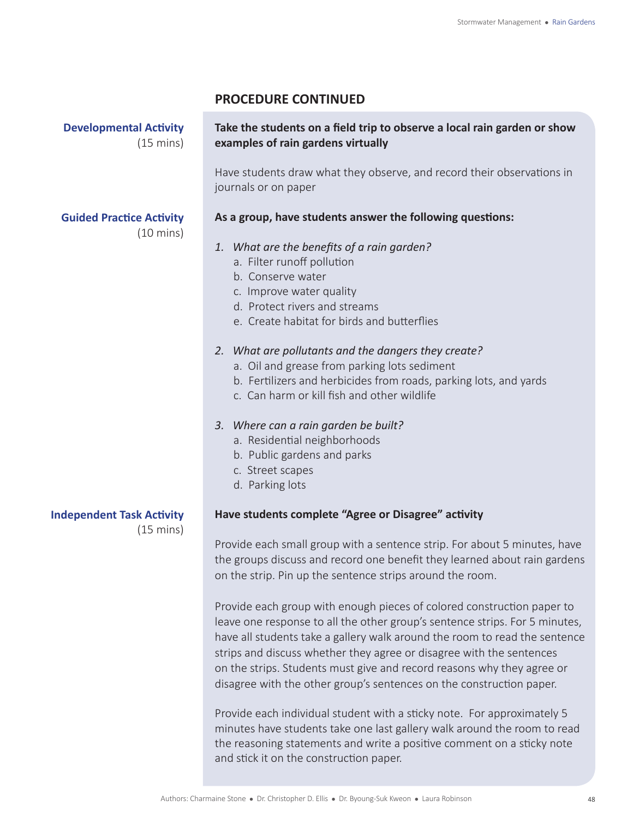**Developmental Activity** (15 mins)

#### **Take the students on a field trip to observe a local rain garden or show examples of rain gardens virtually**

Have students draw what they observe, and record their observations in journals or on paper

#### **As a group, have students answer the following questions:**

- *1. What are the benefits of a rain garden?*
	- a. Filter runoff pollution
	- b. Conserve water
	- c. Improve water quality
	- d. Protect rivers and streams
	- e. Create habitat for birds and butterflies

#### *2. What are pollutants and the dangers they create?*

- a. Oil and grease from parking lots sediment
- b. Fertilizers and herbicides from roads, parking lots, and yards
- c. Can harm or kill fish and other wildlife

#### *3. Where can a rain garden be built?*

- a. Residential neighborhoods
- b. Public gardens and parks
- c. Street scapes
- d. Parking lots

#### **Have students complete "Agree or Disagree" activity**

Provide each small group with a sentence strip. For about 5 minutes, have the groups discuss and record one benefit they learned about rain gardens on the strip. Pin up the sentence strips around the room.

Provide each group with enough pieces of colored construction paper to leave one response to all the other group's sentence strips. For 5 minutes, have all students take a gallery walk around the room to read the sentence strips and discuss whether they agree or disagree with the sentences on the strips. Students must give and record reasons why they agree or disagree with the other group's sentences on the construction paper.

Provide each individual student with a sticky note. For approximately 5 minutes have students take one last gallery walk around the room to read the reasoning statements and write a positive comment on a sticky note and stick it on the construction paper.

**Guided Practice Activity**

(10 mins)

#### **Independent Task Activity**

(15 mins)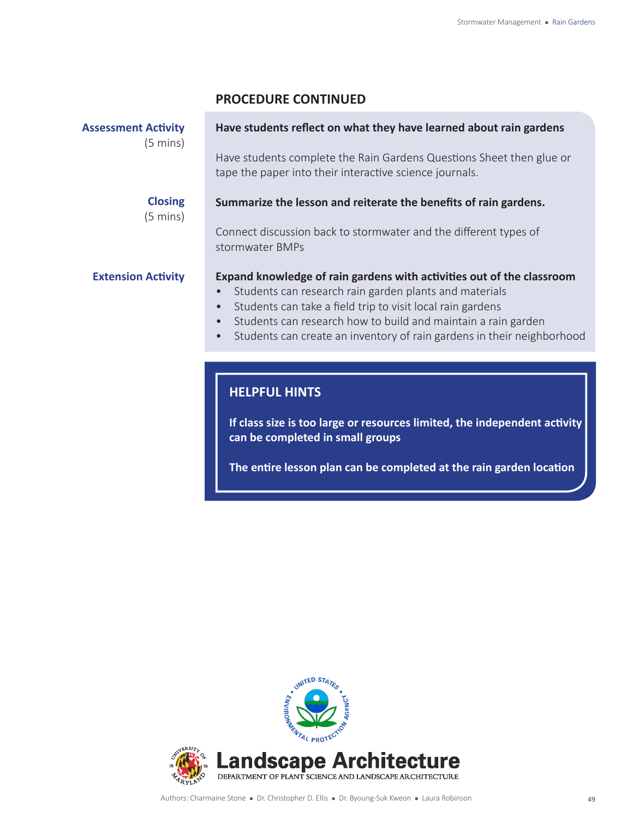| <b>Assessment Activity</b> |  |  |
|----------------------------|--|--|
|                            |  |  |

(5 mins)

#### **Have students reflect on what they have learned about rain gardens**

Have students complete the Rain Gardens Questions Sheet then glue or tape the paper into their interactive science journals.

#### **Closing**

(5 mins)

### Connect discussion back to stormwater and the different types of

**Summarize the lesson and reiterate the benefits of rain gardens.** 

**Extension Activity**

### stormwater BMPs

#### **Expand knowledge of rain gardens with activities out of the classroom**

- Students can research rain garden plants and materials
- Students can take a field trip to visit local rain gardens
- Students can research how to build and maintain a rain garden
- Students can create an inventory of rain gardens in their neighborhood

#### **HELPFUL HINTS**

**If class size is too large or resources limited, the independent activity can be completed in small groups**

**The entire lesson plan can be completed at the rain garden location**

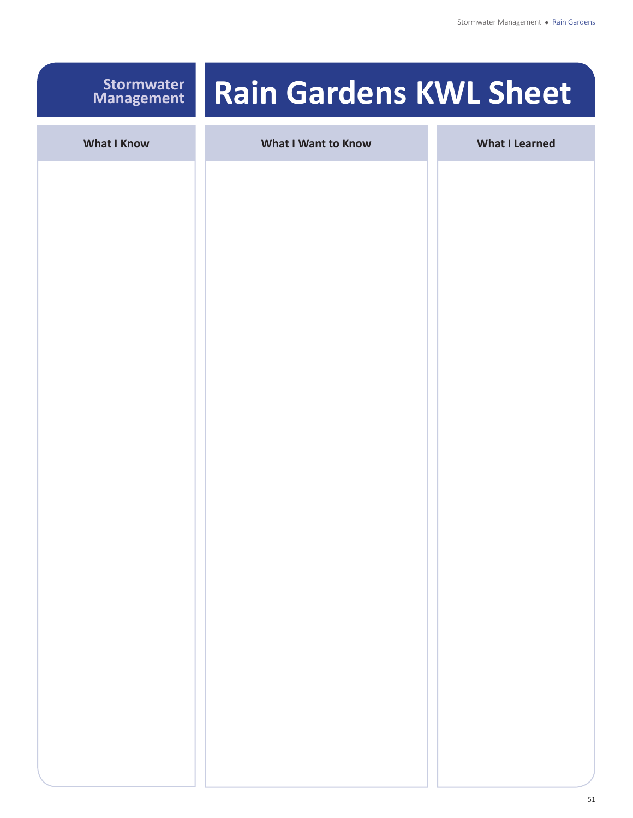#### **Stormwater Management**

## **Rain Gardens KWL Sheet**

| <b>What I Know</b> | <b>What I Want to Know</b> | <b>What I Learned</b> |
|--------------------|----------------------------|-----------------------|
|                    |                            |                       |
|                    |                            |                       |
|                    |                            |                       |
|                    |                            |                       |
|                    |                            |                       |
|                    |                            |                       |
|                    |                            |                       |
|                    |                            |                       |
|                    |                            |                       |
|                    |                            |                       |
|                    |                            |                       |
|                    |                            |                       |
|                    |                            |                       |
|                    |                            |                       |
|                    |                            |                       |
|                    |                            |                       |
|                    |                            |                       |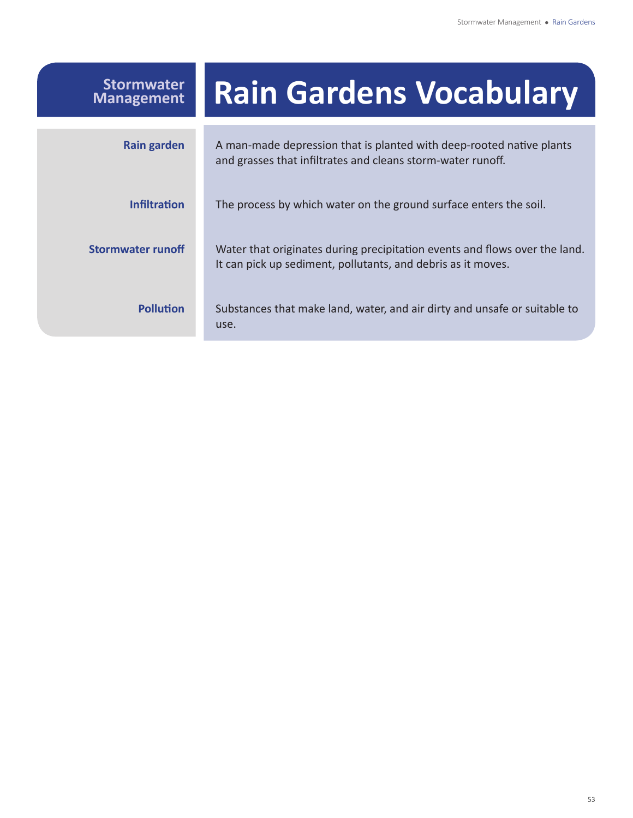| <b>Stormwater</b><br><b>Management</b> | <b>Rain Gardens Vocabulary</b>                                                                                                             |
|----------------------------------------|--------------------------------------------------------------------------------------------------------------------------------------------|
| <b>Rain garden</b>                     | A man-made depression that is planted with deep-rooted native plants<br>and grasses that infiltrates and cleans storm-water runoff.        |
| <b>Infiltration</b>                    | The process by which water on the ground surface enters the soil.                                                                          |
| <b>Stormwater runoff</b>               | Water that originates during precipitation events and flows over the land.<br>It can pick up sediment, pollutants, and debris as it moves. |
| <b>Pollution</b>                       | Substances that make land, water, and air dirty and unsafe or suitable to<br>use.                                                          |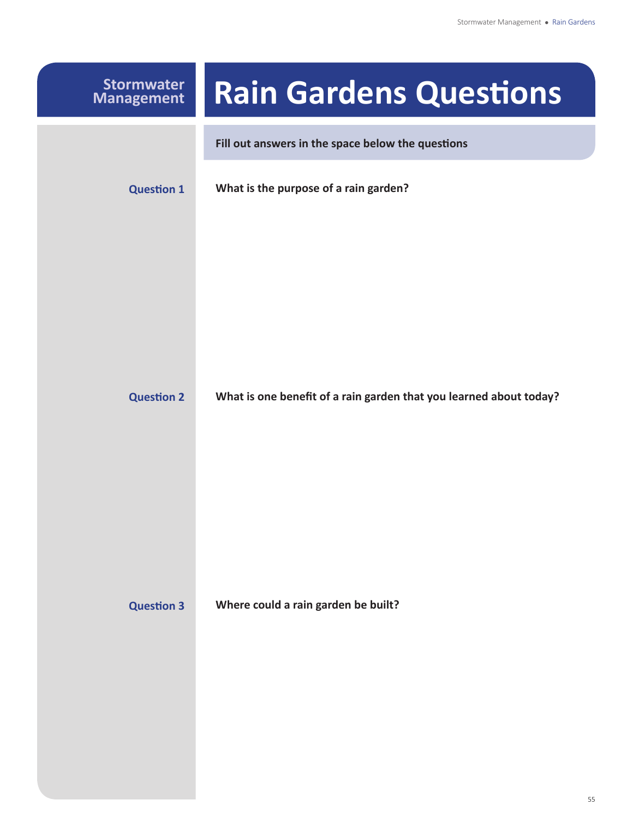| <b>Stormwater</b><br><b>Management</b> | <b>Rain Gardens Questions</b>                                      |
|----------------------------------------|--------------------------------------------------------------------|
|                                        | Fill out answers in the space below the questions                  |
| <b>Question 1</b>                      | What is the purpose of a rain garden?                              |
|                                        |                                                                    |
|                                        |                                                                    |
|                                        |                                                                    |
| <b>Question 2</b>                      | What is one benefit of a rain garden that you learned about today? |
|                                        |                                                                    |
|                                        |                                                                    |
|                                        |                                                                    |
|                                        |                                                                    |
| <b>Question 3</b>                      | Where could a rain garden be built?                                |
|                                        |                                                                    |
|                                        |                                                                    |
|                                        |                                                                    |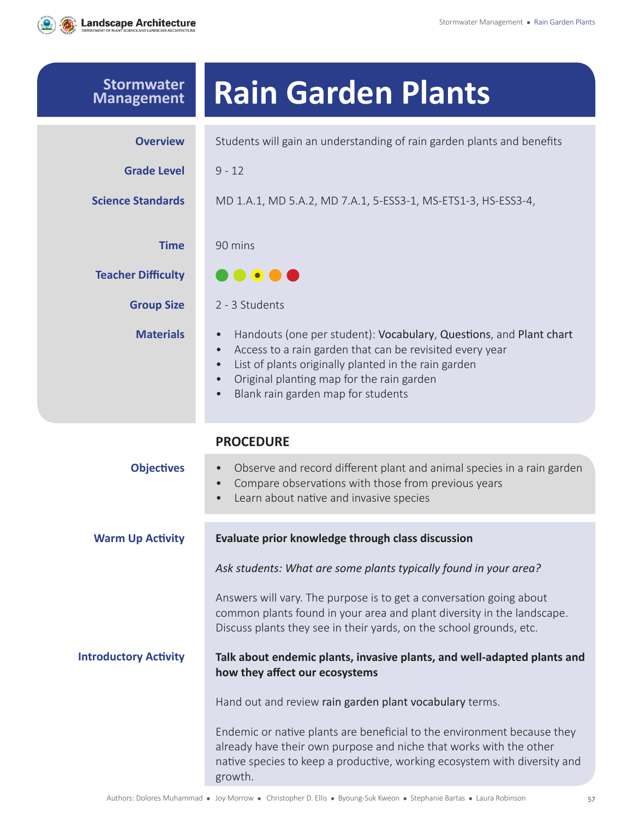

| <b>Stormwater</b><br><b>Management</b> | <b>Rain Garden Plants</b>                                                                                                                                                                                                                                                                                                                  |
|----------------------------------------|--------------------------------------------------------------------------------------------------------------------------------------------------------------------------------------------------------------------------------------------------------------------------------------------------------------------------------------------|
| <b>Overview</b>                        | Students will gain an understanding of rain garden plants and benefits                                                                                                                                                                                                                                                                     |
| <b>Grade Level</b>                     | $9 - 12$                                                                                                                                                                                                                                                                                                                                   |
| <b>Science Standards</b>               | MD 1.A.1, MD 5.A.2, MD 7.A.1, 5-ESS3-1, MS-ETS1-3, HS-ESS3-4,                                                                                                                                                                                                                                                                              |
| <b>Time</b>                            | 90 mins                                                                                                                                                                                                                                                                                                                                    |
| <b>Teacher Difficulty</b>              | $\bullet\bullet\bullet$                                                                                                                                                                                                                                                                                                                    |
| <b>Group Size</b>                      | 2 - 3 Students                                                                                                                                                                                                                                                                                                                             |
| <b>Materials</b>                       | Handouts (one per student): Vocabulary, Questions, and Plant chart<br>$\bullet$<br>Access to a rain garden that can be revisited every year<br>$\bullet$<br>List of plants originally planted in the rain garden<br>$\bullet$<br>Original planting map for the rain garden<br>$\bullet$<br>Blank rain garden map for students<br>$\bullet$ |
|                                        | <b>PROCEDURE</b>                                                                                                                                                                                                                                                                                                                           |
| <b>Objectives</b>                      | Observe and record different plant and animal species in a rain garden<br>$\bullet$<br>Compare observations with those from previous years<br>$\bullet$<br>Learn about native and invasive species<br>$\bullet$                                                                                                                            |
| <b>Warm Up Activity</b>                | Evaluate prior knowledge through class discussion                                                                                                                                                                                                                                                                                          |
|                                        | Ask students: What are some plants typically found in your area?                                                                                                                                                                                                                                                                           |
|                                        | Answers will vary. The purpose is to get a conversation going about<br>common plants found in your area and plant diversity in the landscape.<br>Discuss plants they see in their yards, on the school grounds, etc.                                                                                                                       |
| <b>Introductory Activity</b>           | Talk about endemic plants, invasive plants, and well-adapted plants and<br>how they affect our ecosystems                                                                                                                                                                                                                                  |
|                                        | Hand out and review rain garden plant vocabulary terms.                                                                                                                                                                                                                                                                                    |
|                                        | Endemic or native plants are beneficial to the environment because they<br>already have their own purpose and niche that works with the other<br>native species to keep a productive, working ecosystem with diversity and<br>growth.                                                                                                      |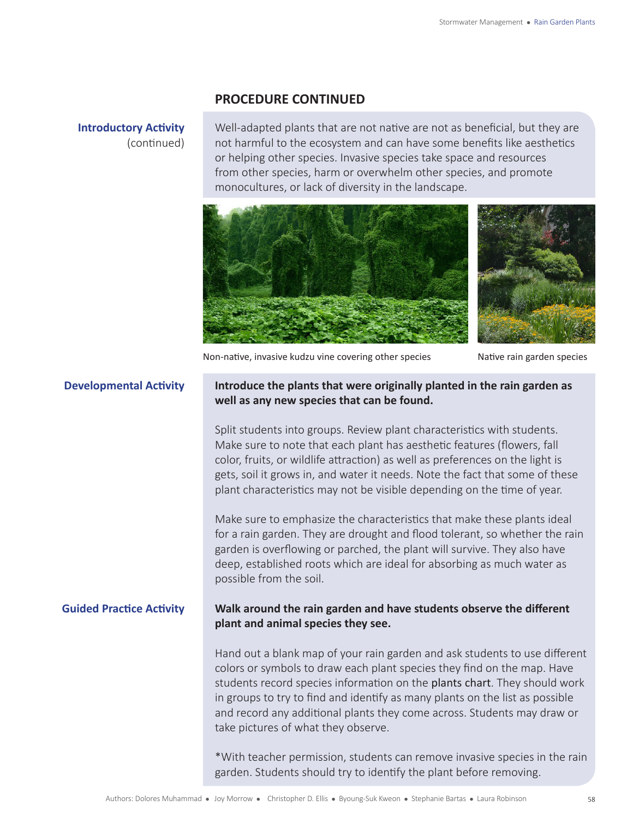#### **Introductory Activity** (continued)

Well-adapted plants that are not native are not as beneficial, but they are not harmful to the ecosystem and can have some benefits like aesthetics or helping other species. Invasive species take space and resources from other species, harm or overwhelm other species, and promote monocultures, or lack of diversity in the landscape.



Non-native, invasive kudzu vine covering other species Native rain garden species

#### **Developmental Activity Introduce the plants that were originally planted in the rain garden as well as any new species that can be found.**

Split students into groups. Review plant characteristics with students. Make sure to note that each plant has aesthetic features (flowers, fall color, fruits, or wildlife attraction) as well as preferences on the light is gets, soil it grows in, and water it needs. Note the fact that some of these plant characteristics may not be visible depending on the time of year.

Make sure to emphasize the characteristics that make these plants ideal for a rain garden. They are drought and flood tolerant, so whether the rain garden is overflowing or parched, the plant will survive. They also have deep, established roots which are ideal for absorbing as much water as possible from the soil.

#### **Guided Practice Activity Walk around the rain garden and have students observe the different plant and animal species they see.**

Hand out a blank map of your rain garden and ask students to use different colors or symbols to draw each plant species they find on the map. Have students record species information on the plants chart. They should work in groups to try to find and identify as many plants on the list as possible and record any additional plants they come across. Students may draw or take pictures of what they observe.

\*With teacher permission, students can remove invasive species in the rain garden. Students should try to identify the plant before removing.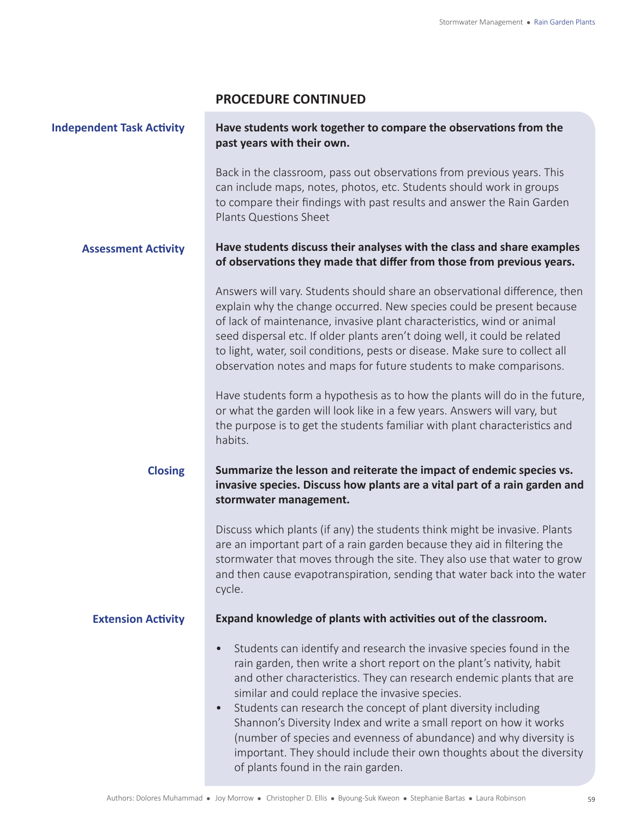| <b>Independent Task Activity</b> | Have students work together to compare the observations from the<br>past years with their own.                                                                                                                                                                                                                                                                                                                                                                                                                                                                                                                      |
|----------------------------------|---------------------------------------------------------------------------------------------------------------------------------------------------------------------------------------------------------------------------------------------------------------------------------------------------------------------------------------------------------------------------------------------------------------------------------------------------------------------------------------------------------------------------------------------------------------------------------------------------------------------|
|                                  | Back in the classroom, pass out observations from previous years. This<br>can include maps, notes, photos, etc. Students should work in groups<br>to compare their findings with past results and answer the Rain Garden<br>Plants Questions Sheet                                                                                                                                                                                                                                                                                                                                                                  |
| <b>Assessment Activity</b>       | Have students discuss their analyses with the class and share examples<br>of observations they made that differ from those from previous years.                                                                                                                                                                                                                                                                                                                                                                                                                                                                     |
|                                  | Answers will vary. Students should share an observational difference, then<br>explain why the change occurred. New species could be present because<br>of lack of maintenance, invasive plant characteristics, wind or animal<br>seed dispersal etc. If older plants aren't doing well, it could be related<br>to light, water, soil conditions, pests or disease. Make sure to collect all<br>observation notes and maps for future students to make comparisons.                                                                                                                                                  |
|                                  | Have students form a hypothesis as to how the plants will do in the future,<br>or what the garden will look like in a few years. Answers will vary, but<br>the purpose is to get the students familiar with plant characteristics and<br>habits.                                                                                                                                                                                                                                                                                                                                                                    |
| <b>Closing</b>                   | Summarize the lesson and reiterate the impact of endemic species vs.<br>invasive species. Discuss how plants are a vital part of a rain garden and<br>stormwater management.                                                                                                                                                                                                                                                                                                                                                                                                                                        |
|                                  | Discuss which plants (if any) the students think might be invasive. Plants<br>are an important part of a rain garden because they aid in filtering the<br>stormwater that moves through the site. They also use that water to grow<br>and then cause evapotranspiration, sending that water back into the water<br>cycle.                                                                                                                                                                                                                                                                                           |
| <b>Extension Activity</b>        | Expand knowledge of plants with activities out of the classroom.                                                                                                                                                                                                                                                                                                                                                                                                                                                                                                                                                    |
|                                  | Students can identify and research the invasive species found in the<br>rain garden, then write a short report on the plant's nativity, habit<br>and other characteristics. They can research endemic plants that are<br>similar and could replace the invasive species.<br>Students can research the concept of plant diversity including<br>$\bullet$<br>Shannon's Diversity Index and write a small report on how it works<br>(number of species and evenness of abundance) and why diversity is<br>important. They should include their own thoughts about the diversity<br>of plants found in the rain garden. |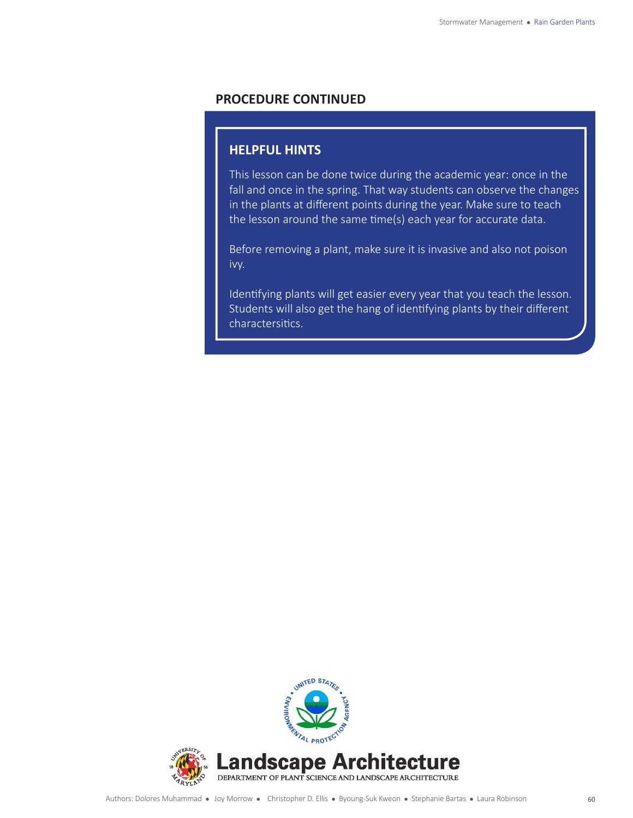#### **HELPFUL HINTS**

This lesson can be done twice during the academic year: once in the fall and once in the spring. That way students can observe the changes in the plants at different points during the year. Make sure to teach the lesson around the same time(s) each year for accurate data.

Before removing a plant, make sure it is invasive and also not poison ivy.

Identifying plants will get easier every year that you teach the lesson. Students will also get the hang of identifying plants by their different charactersitics.

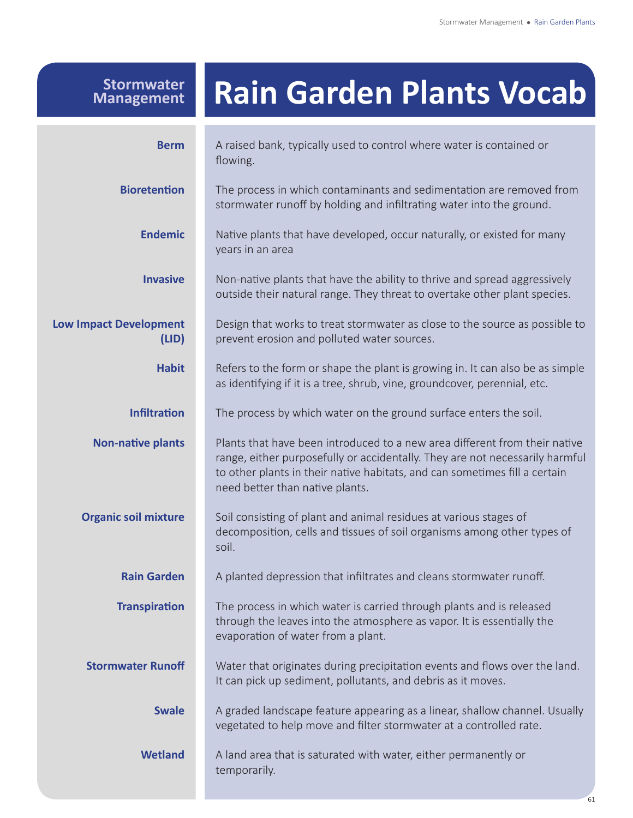# **Rain Garden Plants Vocab**

**Stormwater Management**

| <b>Berm</b>                            | A raised bank, typically used to control where water is contained or<br>flowing.                                                                                                                                                                                            |
|----------------------------------------|-----------------------------------------------------------------------------------------------------------------------------------------------------------------------------------------------------------------------------------------------------------------------------|
| <b>Bioretention</b>                    | The process in which contaminants and sedimentation are removed from<br>stormwater runoff by holding and infiltrating water into the ground.                                                                                                                                |
| <b>Endemic</b>                         | Native plants that have developed, occur naturally, or existed for many<br>years in an area                                                                                                                                                                                 |
| <b>Invasive</b>                        | Non-native plants that have the ability to thrive and spread aggressively<br>outside their natural range. They threat to overtake other plant species.                                                                                                                      |
| <b>Low Impact Development</b><br>(LID) | Design that works to treat stormwater as close to the source as possible to<br>prevent erosion and polluted water sources.                                                                                                                                                  |
| <b>Habit</b>                           | Refers to the form or shape the plant is growing in. It can also be as simple<br>as identifying if it is a tree, shrub, vine, groundcover, perennial, etc.                                                                                                                  |
| <b>Infiltration</b>                    | The process by which water on the ground surface enters the soil.                                                                                                                                                                                                           |
| <b>Non-native plants</b>               | Plants that have been introduced to a new area different from their native<br>range, either purposefully or accidentally. They are not necessarily harmful<br>to other plants in their native habitats, and can sometimes fill a certain<br>need better than native plants. |
| <b>Organic soil mixture</b>            | Soil consisting of plant and animal residues at various stages of<br>decomposition, cells and tissues of soil organisms among other types of<br>soil.                                                                                                                       |
| <b>Rain Garden</b>                     | A planted depression that infiltrates and cleans stormwater runoff.                                                                                                                                                                                                         |
| <b>Transpiration</b>                   | The process in which water is carried through plants and is released<br>through the leaves into the atmosphere as vapor. It is essentially the<br>evaporation of water from a plant.                                                                                        |
| <b>Stormwater Runoff</b>               | Water that originates during precipitation events and flows over the land.<br>It can pick up sediment, pollutants, and debris as it moves.                                                                                                                                  |
| <b>Swale</b>                           | A graded landscape feature appearing as a linear, shallow channel. Usually<br>vegetated to help move and filter stormwater at a controlled rate.                                                                                                                            |
| <b>Wetland</b>                         | A land area that is saturated with water, either permanently or<br>temporarily.                                                                                                                                                                                             |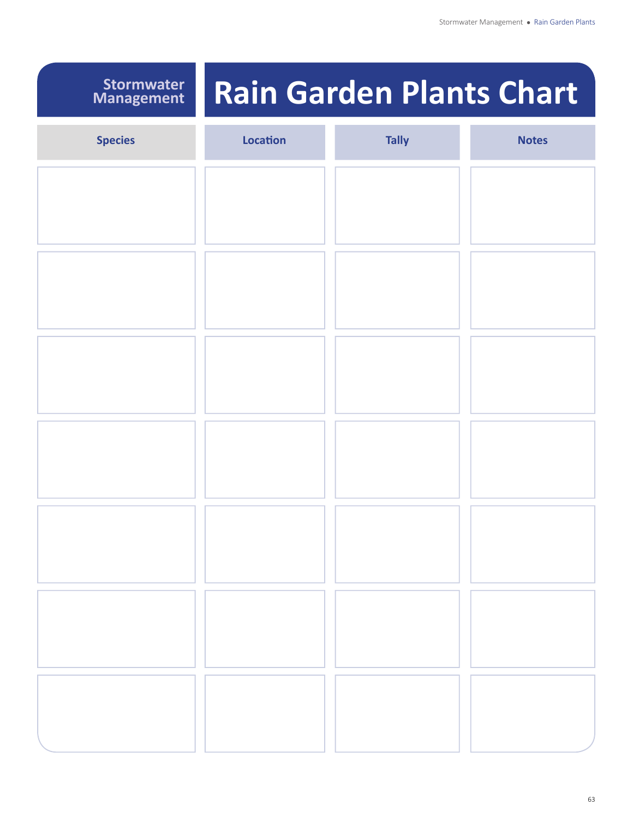### **Stormwater Management**

# **Rain Garden Plants Chart**

| <b>Species</b> | Location | <b>Tally</b> | <b>Notes</b> |
|----------------|----------|--------------|--------------|
|                |          |              |              |
|                |          |              |              |
|                |          |              |              |
|                |          |              |              |
|                |          |              |              |
|                |          |              |              |
|                |          |              |              |
|                |          |              |              |
|                |          |              |              |
|                |          |              |              |
|                |          |              |              |
|                |          |              |              |
|                |          |              |              |
|                |          |              |              |
|                |          |              |              |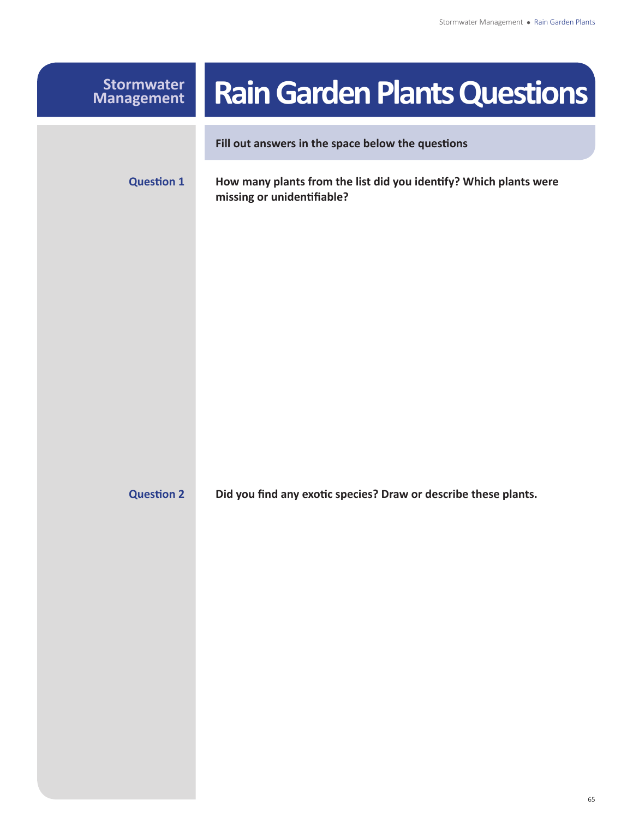| <b>Stormwater</b><br><b>Management</b> | <b>Rain Garden Plants Questions</b>                                                             |
|----------------------------------------|-------------------------------------------------------------------------------------------------|
|                                        | Fill out answers in the space below the questions                                               |
| <b>Question 1</b>                      | How many plants from the list did you identify? Which plants were<br>missing or unidentifiable? |
|                                        |                                                                                                 |
| <b>Question 2</b>                      | Did you find any exotic species? Draw or describe these plants.                                 |